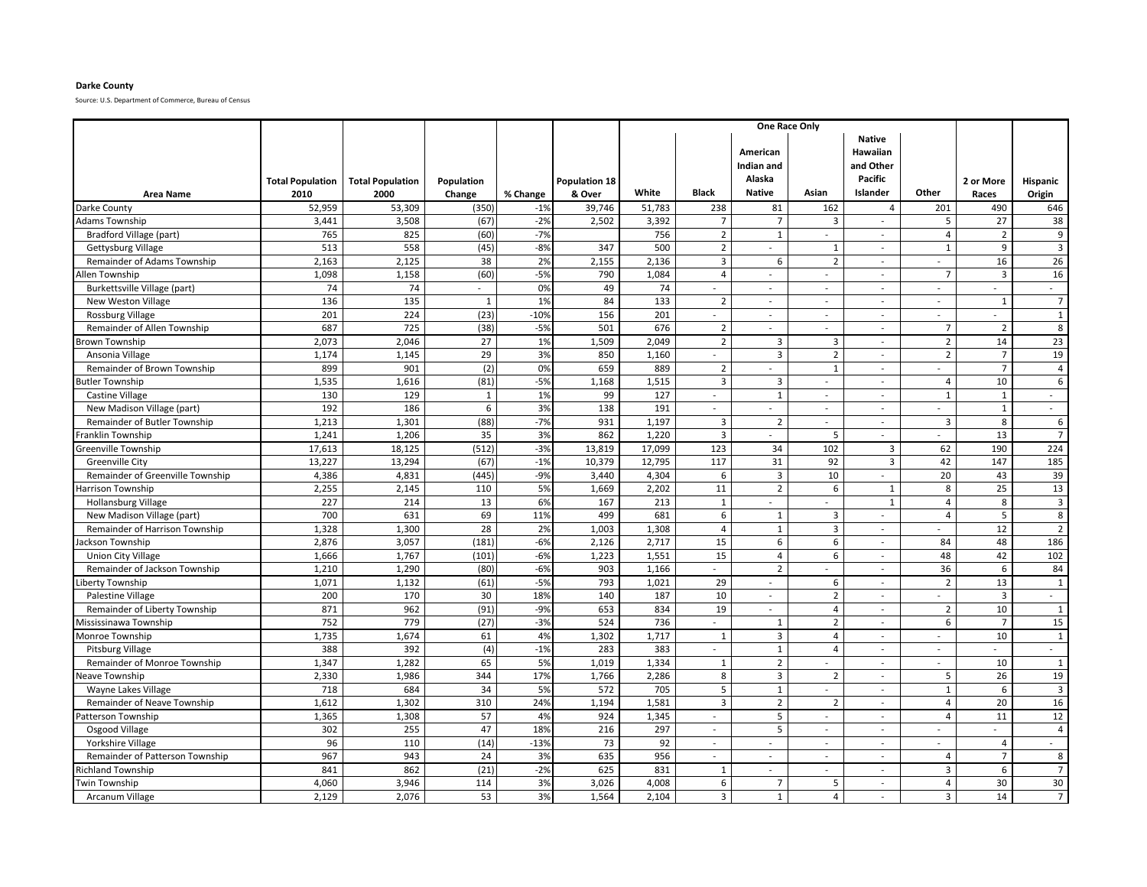### **Darke County**

|                                                  |                         |                         |                  |             |                      | One Race Only |                          |                                  |                                  |                                                          |                                            |                          |                    |
|--------------------------------------------------|-------------------------|-------------------------|------------------|-------------|----------------------|---------------|--------------------------|----------------------------------|----------------------------------|----------------------------------------------------------|--------------------------------------------|--------------------------|--------------------|
|                                                  | <b>Total Population</b> | <b>Total Population</b> | Population       |             | <b>Population 18</b> |               |                          | American<br>Indian and<br>Alaska |                                  | <b>Native</b><br>Hawaiian<br>and Other<br><b>Pacific</b> |                                            | 2 or More                | <b>Hispanic</b>    |
| <b>Area Name</b>                                 | 2010                    | 2000                    | Change           | % Change    | & Over               | White         | <b>Black</b>             | <b>Native</b>                    | Asian                            | Islander                                                 | Other                                      | Races                    | Origin             |
| Darke County                                     | 52,959                  | 53,309                  | (350)            | $-1%$       | 39,746               | 51,783        | 238                      | 81                               | 162                              | $\overline{4}$                                           | 201                                        | 490                      | 646                |
| <b>Adams Township</b>                            | 3,441                   | 3,508                   | (67)             | $-2%$       | 2,502                | 3,392         | $\overline{7}$           | $\overline{7}$                   | $\overline{3}$                   | ÷                                                        | 5                                          | 27                       | 38                 |
| Bradford Village (part)                          | 765                     | 825                     | (60)             | $-7%$       |                      | 756           | $\overline{2}$           | $\overline{1}$                   | $\overline{\phantom{a}}$         | $\mathcal{L}_{\mathcal{A}}$                              | $\overline{4}$                             | $\overline{2}$           | 9                  |
| Gettysburg Village                               | 513                     | 558                     | (45)             | $-8%$       | 347                  | 500           | $\overline{2}$           | $\sim$                           | 1                                | $\sim$                                                   | $\mathbf{1}$                               | 9                        | $\overline{3}$     |
| Remainder of Adams Township                      | 2,163                   | 2,125                   | 38               | 2%          | 2,155                | 2,136         | $\overline{3}$           | 6                                | $\overline{2}$                   | $\sim$                                                   | $\mathcal{L}_{\mathcal{A}}$                | 16                       | 26                 |
| Allen Township                                   | 1,098                   | 1,158                   | (60)             | $-5%$       | 790                  | 1,084         | $\overline{4}$           | $\overline{\phantom{a}}$         | $\overline{\phantom{a}}$         | $\overline{\phantom{a}}$                                 | $\overline{7}$                             | 3                        | 16                 |
| Burkettsville Village (part)                     | 74                      | 74                      | ÷.               | 0%          | 49                   | 74            | $\sim$                   | $\sim$                           | $\sim$                           | $\sim$                                                   | $\overline{\phantom{a}}$                   | $\sim$                   | $\sim$             |
| New Weston Village                               | 136                     | 135                     | $\mathbf{1}$     | 1%          | 84                   | 133           | $\overline{2}$           | $\sim$                           | $\sim$                           | $\sim$                                                   | $\overline{\phantom{a}}$                   | $\overline{1}$           | $\overline{7}$     |
| Rossburg Village                                 | 201                     | 224                     | (23)             | $-10%$      | 156                  | 201           | $\sim$                   | $\sim$                           | $\overline{\phantom{a}}$         | $\sim$                                                   | $\blacksquare$                             | $\overline{\phantom{a}}$ | $\mathbf{1}$       |
| Remainder of Allen Township                      | 687                     | 725                     | (38)             | $-5%$       | 501                  | 676           | $\overline{2}$           | $\sim$                           |                                  | $\overline{\phantom{a}}$                                 | $\overline{7}$                             | $\overline{2}$           | 8                  |
| Brown Township                                   | 2,073                   | 2,046                   | 27               | 1%          | 1,509                | 2,049         | $\overline{2}$           | 3                                | $\overline{\mathbf{3}}$          | $\mathcal{L}_{\mathcal{A}}$                              | $\overline{2}$                             | 14                       | 23                 |
| Ansonia Village                                  | 1,174                   | 1,145                   | 29               | 3%          | 850                  | 1,160         |                          | 3                                | $\overline{2}$                   | $\overline{\phantom{a}}$                                 | $\overline{2}$                             | $\overline{7}$           | 19                 |
| Remainder of Brown Township                      | 899                     | 901                     | (2)              | 0%          | 659                  | 889           | $\overline{2}$           |                                  | $\mathbf{1}$                     | $\overline{\phantom{a}}$                                 | $\overline{a}$                             | $\overline{7}$           | 4                  |
| <b>Butler Township</b>                           | 1,535                   | 1,616                   | (81)             | $-5%$       | 1,168                | 1,515         | 3                        | 3                                | $\overline{\phantom{a}}$         | $\sim$                                                   | $\overline{4}$                             | 10                       | 6                  |
| <b>Castine Village</b>                           | 130                     | 129                     | $\mathbf{1}$     | 1%          | 99                   | 127           | $\mathcal{L}$            | $\mathbf{1}$                     | $\overline{a}$                   | $\sim$                                                   | $\overline{1}$                             | $\overline{1}$           | $\sim$             |
| New Madison Village (part)                       | 192                     | 186                     | $\boldsymbol{6}$ | 3%          | 138                  | 191           | $\sim$                   | $\sim$                           | $\overline{a}$                   | $\sim$                                                   | $\overline{a}$                             | $\mathbf{1}$             | $\sim$             |
| Remainder of Butler Township                     | 1,213                   | 1,301                   | (88)             | $-7%$       | 931                  | 1,197         | $\overline{3}$           | $\overline{2}$                   | $\sim$                           | $\sim$                                                   | 3                                          | 8                        | 6                  |
| Franklin Township                                | 1,241                   | 1,206                   | 35               | 3%          | 862                  | 1,220         | $\overline{3}$           | $\sim$                           | 5                                | ÷.                                                       | $\overline{a}$                             | 13                       | $\overline{7}$     |
| Greenville Township                              | 17,613                  | 18,125                  | (512)            | $-3%$       | 13,819               | 17,099        | 123                      | 34                               | 102                              | $\overline{3}$                                           | 62                                         | 190                      | 224                |
| <b>Greenville City</b>                           | 13,227                  | 13,294                  | (67)             | $-1%$       | 10,379               | 12,795        | 117                      | 31                               | 92                               | $\overline{3}$                                           | 42                                         | 147                      | 185                |
| Remainder of Greenville Township                 | 4,386                   | 4,831                   | (445)            | $-9%$       | 3,440                | 4,304         | 6                        | $\overline{3}$                   | 10                               | $\sim$                                                   | 20                                         | 43                       | 39                 |
| Harrison Township                                | 2,255                   | 2,145                   | 110              | 5%          | 1,669                | 2,202         | 11                       | $\overline{2}$                   | 6                                | $\mathbf{1}$                                             | 8                                          | 25                       | 13                 |
| <b>Hollansburg Village</b>                       | 227                     | 214                     | 13               | 6%          | 167                  | 213           | 1                        |                                  |                                  | $\mathbf{1}$                                             | $\overline{4}$                             | 8                        | $\overline{3}$     |
| New Madison Village (part)                       | 700                     | 631                     | 69               | 11%         | 499                  | 681           | 6                        | $\mathbf{1}$                     | 3                                | $\overline{a}$                                           | $\overline{4}$                             | 5                        | 8                  |
| Remainder of Harrison Township                   | 1,328                   | 1,300                   | 28               | 2%          | 1,003                | 1,308         | $\overline{4}$           | $\mathbf{1}$                     | $\overline{3}$                   | $\sim$                                                   | $\overline{a}$                             | 12                       | $\overline{2}$     |
| lackson Township                                 | 2,876                   | 3,057                   | (181)            | $-6%$       | 2,126                | 2,717         | 15                       | 6                                | 6                                | $\sim$                                                   | 84                                         | 48                       | 186                |
| <b>Union City Village</b>                        | 1,666                   | 1,767                   | (101)            | $-6%$       | 1,223                | 1,551         | 15                       | $\overline{4}$                   | 6                                | $\overline{a}$                                           | 48                                         | 42                       | 102                |
| Remainder of Jackson Township                    | 1,210                   | 1,290                   | (80)             | $-6%$       | 903                  | 1,166         | $\overline{\phantom{a}}$ | $\overline{2}$                   |                                  | $\overline{a}$                                           | 36                                         | 6                        | 84                 |
| iberty Township                                  | 1,071                   | 1,132                   | (61)             | $-5%$       | 793                  | 1,021         | 29                       | $\sim$                           | 6                                | $\sim$                                                   | $\overline{2}$                             | 13                       | $\mathbf{1}$       |
| Palestine Village                                | 200                     | 170                     | 30               | 18%         | 140                  | 187           | 10                       | $\sim$                           | $\overline{2}$                   | $\sim$                                                   | $\overline{a}$                             | $\overline{3}$           | $\sim$             |
| Remainder of Liberty Township                    | 871                     | 962                     | (91)             | $-9%$       | 653                  | 834           | 19                       | $\sim$                           | $\overline{4}$                   | $\sim$                                                   | $\overline{2}$                             | 10                       | 1                  |
| Mississinawa Township                            | 752                     | 779                     | (27)             | $-3%$       | 524                  | 736           | $\blacksquare$           | $\mathbf{1}$                     | $\overline{2}$                   | $\sim$                                                   | 6                                          | $\overline{7}$           | 15                 |
| Monroe Township                                  | 1,735<br>388            | 1,674                   | 61               | 4%<br>$-1%$ | 1,302                | 1,717         | $\mathbf{1}$             | $\overline{3}$                   | $\overline{4}$<br>$\overline{4}$ | $\sim$                                                   | $\overline{\phantom{a}}$                   | 10                       | $\mathbf{1}$       |
| Pitsburg Village                                 |                         | 392                     | (4)              |             | 283                  | 383           | $\sim$                   | $\mathbf{1}$                     |                                  | $\sim$<br>$\sim$                                         | $\overline{\phantom{a}}$<br>$\overline{a}$ | $\sim$                   | $\sim$             |
| Remainder of Monroe Township                     | 1,347                   | 1,282                   | 65<br>344        | 5%<br>17%   | 1,019                | 1,334         | $\mathbf{1}$             | $\overline{2}$                   |                                  |                                                          |                                            | 10<br>26                 | $\mathbf{1}$<br>19 |
| Neave Township<br><b>Wayne Lakes Village</b>     | 2,330<br>718            | 1,986<br>684            | 34               | 5%          | 1,766<br>572         | 2,286<br>705  | 8<br>5                   | 3<br>$\mathbf 1$                 | $\overline{2}$                   | $\overline{\phantom{a}}$<br>÷,                           | 5<br>$\mathbf{1}$                          | 6                        | 3                  |
|                                                  | 1,612                   | 1,302                   | 310              | 24%         | 1,194                | 1,581         | $\overline{3}$           | $\overline{2}$                   | $\overline{2}$                   | $\overline{a}$                                           | $\overline{4}$                             | 20                       | 16                 |
| Remainder of Neave Township<br>atterson Township | 1,365                   | 1,308                   | 57               | 4%          | 924                  | 1,345         | $\sim$                   | 5                                | $\sim$                           | $\sim$                                                   | $\overline{4}$                             | 11                       | 12                 |
| Osgood Village                                   | 302                     | 255                     | 47               | 18%         | 216                  | 297           | $\sim$                   | 5                                | $\overline{\phantom{a}}$         | $\sim$                                                   | $\mathbf{r}$                               | $\sim$                   | $\overline{4}$     |
| Yorkshire Village                                | 96                      | 110                     | (14)             | $-13%$      | 73                   | 92            | $\sim$                   | $\sim$                           | $\overline{\phantom{a}}$         | $\sim$                                                   | $\overline{a}$                             | $\overline{4}$           | $\sim$             |
| Remainder of Patterson Township                  | 967                     | 943                     | 24               | 3%          | 635                  | 956           | $\sim$                   | $\sim$                           | $\overline{a}$                   | $\sim$                                                   | $\overline{4}$                             | $\overline{7}$           | 8                  |
| Richland Township                                | 841                     | 862                     | (21)             | $-2%$       | 625                  | 831           | 1                        | $\sim$                           | $\overline{a}$                   | ÷,                                                       | 3                                          | 6                        | $\overline{7}$     |
| <b>Twin Township</b>                             | 4,060                   | 3,946                   | 114              | 3%          | 3,026                | 4,008         | 6                        | $\overline{7}$                   | 5                                | $\sim$                                                   | $\overline{4}$                             | 30                       | 30                 |
| Arcanum Village                                  | 2,129                   | 2,076                   | 53               | 3%          | 1,564                | 2,104         | $\overline{3}$           | $\mathbf{1}$                     | $\overline{4}$                   | $\overline{\phantom{a}}$                                 | $\mathbf{3}$                               | 14                       | $\overline{7}$     |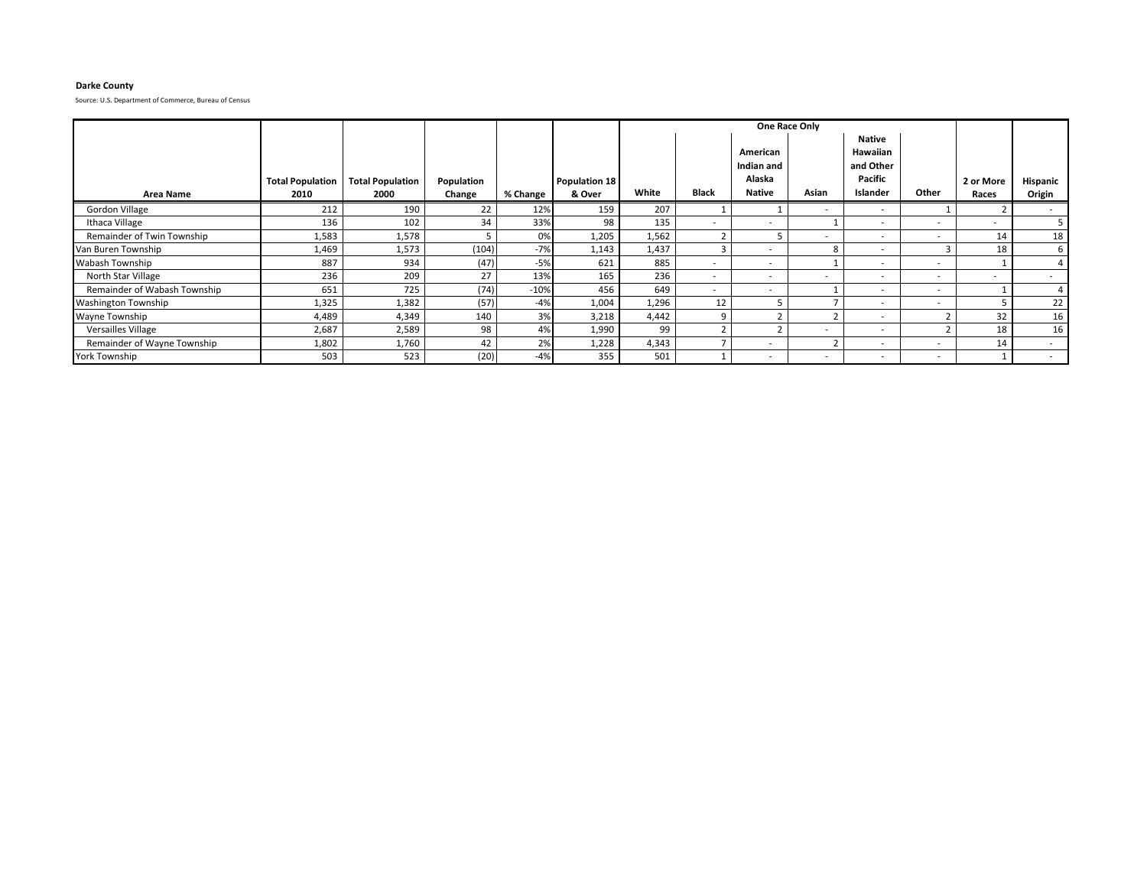### **Darke County**

|                              |                                 |                                 |                      |          |                         |       |                          |                                                   | One Race Only |                                                                      |                          |                    |                           |
|------------------------------|---------------------------------|---------------------------------|----------------------|----------|-------------------------|-------|--------------------------|---------------------------------------------------|---------------|----------------------------------------------------------------------|--------------------------|--------------------|---------------------------|
| <b>Area Name</b>             | <b>Total Population</b><br>2010 | <b>Total Population</b><br>2000 | Population<br>Change | % Change | Population 18<br>& Over | White | <b>Black</b>             | American<br>Indian and<br>Alaska<br><b>Native</b> | Asian         | <b>Native</b><br>Hawaiian<br>and Other<br><b>Pacific</b><br>Islander | Other                    | 2 or More<br>Races | <b>Hispanic</b><br>Origin |
| Gordon Village               | 212                             | 190                             | 22                   | 12%      | 159                     | 207   |                          |                                                   | $\sim$        |                                                                      |                          |                    |                           |
| Ithaca Village               | 136                             | 102                             | 34                   | 33%      | 98                      | 135   | $\overline{\phantom{a}}$ | ۰.                                                |               |                                                                      | $\overline{\phantom{a}}$ |                    |                           |
| Remainder of Twin Township   | 1,583                           | 1,578                           |                      | 0%       | 1,205                   | 1,562 |                          |                                                   | $\sim$        |                                                                      | $\overline{\phantom{a}}$ | 14                 | 18                        |
| Van Buren Township           | 1,469                           | 1,573                           | (104)                | $-7%$    | 1,143                   | 1,437 |                          | ۰.                                                | 8             |                                                                      | 3                        | 18                 | 6                         |
| Wabash Township              | 887                             | 934                             | (47)                 | $-5%$    | 621                     | 885   | $\overline{\phantom{a}}$ | $\overline{\phantom{0}}$                          |               | $\sim$                                                               | $\overline{\phantom{a}}$ |                    |                           |
| North Star Village           | 236                             | 209                             | 27                   | 13%      | 165                     | 236   | $\overline{\phantom{a}}$ | . .                                               | $\sim$        |                                                                      | $\overline{\phantom{a}}$ |                    |                           |
| Remainder of Wabash Township | 651                             | 725                             | (74)                 | $-10%$   | 456                     | 649   | $\overline{\phantom{a}}$ | ۰.                                                |               |                                                                      | $\overline{\phantom{a}}$ |                    |                           |
| <b>Washington Township</b>   | 1,325                           | 1,382                           | (57)                 | $-4%$    | 1,004                   | 1,296 | 12                       |                                                   |               | $\sim$                                                               | $\overline{\phantom{a}}$ |                    | 22                        |
| Wayne Township               | 4,489                           | 4,349                           | 140                  | 3%       | 3,218                   | 4,442 |                          |                                                   |               |                                                                      |                          | 32                 | 16                        |
| <b>Versailles Village</b>    | 2,687                           | 2,589                           | 98                   | 4%       | 1,990                   | 99    |                          |                                                   | $\sim$        | $\overline{\phantom{a}}$                                             | $\mathbf{\hat{}}$        | 18                 | 16                        |
| Remainder of Wayne Township  | 1,802                           | 1,760                           | 42                   | 2%       | 1,228                   | 4,343 |                          | $\overline{\phantom{a}}$                          |               | $\sim$                                                               | $\overline{\phantom{a}}$ | 14                 | . .                       |
| <b>York Township</b>         | 503                             | 523                             | (20)                 | $-4%$    | 355                     | 501   |                          | $\sim$                                            | $\sim$        | . .                                                                  | $\overline{\phantom{a}}$ |                    |                           |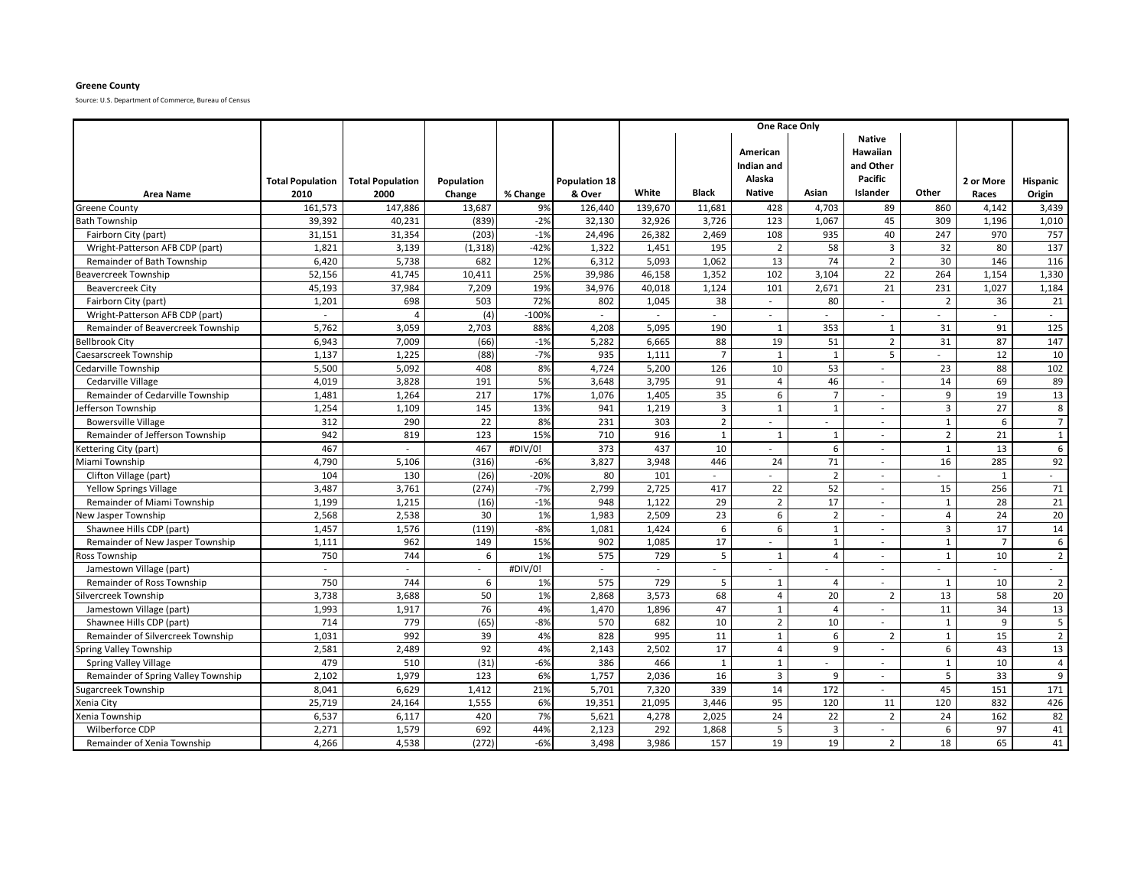### **Greene County**

| <b>Area Name</b>                    | <b>Total Population</b><br>2010 | <b>Total Population</b><br>2000 | Population<br>Change | % Change | <b>Population 18</b><br>& Over | White                    | <b>Black</b>   | American<br>Indian and<br>Alaska<br><b>Native</b> | Asian                    | <b>Native</b><br>Hawaiian<br>and Other<br>Pacific<br>Islander | Other             | 2 or More<br>Races          | Hispanic<br>Origin   |
|-------------------------------------|---------------------------------|---------------------------------|----------------------|----------|--------------------------------|--------------------------|----------------|---------------------------------------------------|--------------------------|---------------------------------------------------------------|-------------------|-----------------------------|----------------------|
| <b>Greene County</b>                | 161,573                         | 147,886                         | 13,687               | 9%       | 126,440                        | 139,670                  | 11,681         | 428                                               | 4,703                    | 89                                                            | 860               | 4,142                       | 3,439                |
| Bath Township                       | 39,392                          | 40,231                          | (839)                | $-2%$    | 32,130                         | 32,926                   | 3.726          | 123                                               | 1,067                    | 45                                                            | 309               | 1.196                       | 1,010                |
| Fairborn City (part)                | 31,151                          | 31,354                          | (203)                | $-1%$    | 24,496                         | 26,382                   | 2,469          | 108                                               | 935                      | 40                                                            | 247               | 970                         | 757                  |
| Wright-Patterson AFB CDP (part)     | 1,821                           | 3,139                           | (1, 318)             | $-42%$   | 1,322                          | 1,451                    | 195            | $\overline{2}$                                    | 58                       | $\overline{3}$                                                | 32                | 80                          | 137                  |
| Remainder of Bath Township          | 6.420                           | 5,738                           | 682                  | 12%      | 6,312                          | 5.093                    | 1.062          | 13                                                | 74                       | $\overline{2}$                                                | 30                | 146                         | 116                  |
| Beavercreek Township                | 52,156                          | 41,745                          | 10,411               | 25%      | 39,986                         | 46,158                   | 1,352          | 102                                               | 3,104                    | 22                                                            | 264               | 1,154                       | 1,330                |
| <b>Beavercreek City</b>             | 45,193                          | 37,984                          | 7,209                | 19%      | 34,976                         | 40,018                   | 1,124          | 101                                               | 2,671                    | 21                                                            | 231               | 1,027                       | 1,184                |
| Fairborn City (part)                | 1,201                           | 698                             | 503                  | 72%      | 802                            | 1,045                    | 38             | $\sim$                                            | 80                       |                                                               | $\overline{2}$    | 36                          | 21                   |
| Wright-Patterson AFB CDP (part)     |                                 | $\overline{A}$                  | (4)                  | $-100%$  | $\sim$                         | $\overline{\phantom{a}}$ | $\sim$         | $\sim$                                            | $\overline{\phantom{a}}$ | $\sim$                                                        |                   | $\overline{\phantom{a}}$    |                      |
| Remainder of Beavercreek Township   | 5,762                           | 3,059                           | 2,703                | 88%      | 4,208                          | 5,095                    | 190            | 1                                                 | 353                      | 1                                                             | 31                | 91                          | 125                  |
| <b>Bellbrook City</b>               | 6,943                           | 7,009                           | (66)                 | $-1%$    | 5,282                          | 6,665                    | 88             | 19                                                | 51                       | $\overline{2}$                                                | 31                | 87                          | 147                  |
| Caesarscreek Township               | 1,137                           | 1,225                           | (88)                 | $-7%$    | 935                            | 1,111                    | $\overline{7}$ | $\mathbf{1}$                                      | $\mathbf{1}$             | 5                                                             | $\overline{a}$    | 12                          | 10                   |
| Cedarville Township                 | 5,500                           | 5,092                           | 408                  | 8%       | 4.724                          | 5,200                    | 126            | 10                                                | 53                       | $\sim$                                                        | 23                | 88                          | 102                  |
| Cedarville Village                  | 4,019                           | 3,828                           | 191                  | 5%       | 3,648                          | 3,795                    | 91             | $\overline{4}$                                    | 46                       | $\overline{\phantom{a}}$                                      | 14                | 69                          | 89                   |
| Remainder of Cedarville Township    | 1,481                           | 1,264                           | 217                  | 17%      | 1,076                          | 1,405                    | 35             | 6                                                 | $\overline{7}$           |                                                               | 9                 | 19                          | 13                   |
| efferson Township                   | 1,254                           | 1,109                           | 145                  | 13%      | 941                            | 1,219                    | $\overline{3}$ | $\mathbf{1}$                                      | $\mathbf{1}$             | $\sim$                                                        | $\overline{3}$    | 27                          | 8                    |
| <b>Bowersville Village</b>          | 312                             | 290                             | 22                   | 8%       | 231                            | 303                      | $\overline{2}$ | $\sim$                                            | $\overline{\phantom{a}}$ | $\sim$                                                        | $\mathbf 1$       | 6                           | $\overline{7}$       |
| Remainder of Jefferson Township     | 942                             | 819                             | 123                  | 15%      | 710                            | 916                      | $\overline{1}$ | $\mathbf{1}$                                      | 1                        | $\sim$                                                        | $\overline{2}$    | 21                          | $\,1\,$              |
| Kettering City (part)               | 467                             | $\sim$                          | 467                  | #DIV/0!  | 373                            | 437                      | 10             |                                                   | 6                        | $\overline{\phantom{a}}$                                      | $\mathbf{1}$      | 13                          | 6                    |
| Miami Township                      | 4,790                           | 5,106                           | (316)                | $-6%$    | 3,827                          | 3,948                    | 446            | 24                                                | 71                       | $\sim$                                                        | 16                | 285                         | 92                   |
| Clifton Village (part)              | 104                             | 130                             | (26)                 | $-20%$   | 80                             | 101                      | $\sim$         |                                                   | $\overline{2}$           | $\sim$                                                        |                   | $\overline{1}$              | $\sim$               |
| <b>Yellow Springs Village</b>       | 3,487                           | 3,761                           | (274)                | $-7%$    | 2,799                          | 2,725                    | 417            | 22                                                | 52                       | $\sim$                                                        | 15                | 256                         | 71                   |
| Remainder of Miami Township         | 1,199                           | 1,215                           | (16)                 | $-1%$    | 948                            | 1,122                    | 29             | $\overline{2}$                                    | 17                       | $\sim$                                                        | $\mathbf{1}$      | 28                          | 21                   |
| <b>Jew Jasper Township</b>          | 2.568                           | 2,538                           | 30                   | 1%       | 1.983                          | 2.509                    | 23             | 6                                                 | $\overline{2}$           | $\overline{\phantom{a}}$                                      | $\overline{4}$    | 24                          | 20                   |
| Shawnee Hills CDP (part)            | 1,457                           | 1,576                           | (119)                | $-8%$    | 1,081                          | 1,424                    | 6              | 6                                                 | $\mathbf{1}$             | $\overline{a}$                                                | $\overline{3}$    | 17                          | 14                   |
| Remainder of New Jasper Township    | 1,111                           | 962                             | 149                  | 15%      | 902                            | 1,085                    | 17             |                                                   | 1                        | ÷                                                             | $\mathbf{1}$      | $\overline{7}$              | 6                    |
| Ross Township                       | 750                             | 744                             | 6                    | 1%       | 575                            | 729                      | 5              | $\mathbf{1}$                                      | $\overline{4}$           |                                                               | $\mathbf{1}$      | 10                          | $\overline{2}$       |
| Jamestown Village (part)            | $\overline{a}$                  | $\sim$                          | $\sim$               | #DIV/0!  | ÷                              | $\sim$                   |                |                                                   |                          | $\overline{a}$                                                |                   | $\mathcal{L}^{\mathcal{A}}$ | $\sim$               |
| Remainder of Ross Township          | 750                             | 744                             | 6                    | 1%       | 575                            | 729                      | 5              | 1                                                 | $\overline{4}$           | $\sim$                                                        | 1                 | 10                          | $\overline{2}$       |
| Silvercreek Township                | 3,738                           | 3,688                           | 50                   | 1%       | 2,868                          | 3,573                    | 68             | $\overline{4}$                                    | 20<br>$\overline{4}$     | $\overline{2}$                                                | 13<br>11          | 58<br>34                    | 20                   |
| Jamestown Village (part)            | 1,993                           | 1,917<br>779                    | 76<br>(65)           | 4%       | 1,470                          | 1,896                    | 47             | $\mathbf{1}$<br>$\overline{2}$                    |                          | $\sim$<br>$\sim$                                              |                   |                             | 13                   |
| Shawnee Hills CDP (part)            | 714                             |                                 |                      | $-8%$    | 570                            | 682                      | 10             |                                                   | 10                       |                                                               | $\mathbf{1}$      | 9                           | 5                    |
| Remainder of Silvercreek Township   | 1,031<br>2,581                  | 992<br>2,489                    | 39<br>92             | 4%<br>4% | 828                            | 995<br>2,502             | 11<br>17       | $\mathbf{1}$<br>$\overline{a}$                    | 6<br>9                   | $\overline{2}$                                                | $\mathbf{1}$      | 15<br>43                    | $\overline{2}$<br>13 |
| Spring Valley Township              | 479                             | 510                             | (31)                 | $-6%$    | 2,143<br>386                   | 466                      | $\mathbf{1}$   | $\mathbf{1}$                                      |                          |                                                               | 6<br>$\mathbf{1}$ | 10                          | $\overline{4}$       |
| <b>Spring Valley Village</b>        |                                 |                                 |                      | 6%       |                                |                          |                | 3                                                 | $\sim$<br>9              | $\sim$                                                        | 5                 | 33                          | 9                    |
| Remainder of Spring Valley Township | 2,102<br>8,041                  | 1,979<br>6,629                  | 123<br>1,412         | 21%      | 1,757<br>5,701                 | 2,036<br>7,320           | 16<br>339      | 14                                                | 172                      | $\sim$<br>$\sim$                                              | 45                | 151                         | 171                  |
| Sugarcreek Township                 | 25,719                          | 24,164                          | 1,555                | 6%       | 19,351                         | 21,095                   | 3,446          | 95                                                | 120                      | 11                                                            | 120               | 832                         | 426                  |
| Xenia City<br>Xenia Township        | 6,537                           | 6,117                           | 420                  | 7%       | 5,621                          | 4,278                    | 2,025          | 24                                                | 22                       | $\overline{2}$                                                | 24                | 162                         | 82                   |
| Wilberforce CDP                     | 2,271                           | 1,579                           | 692                  | 44%      | 2,123                          | 292                      | 1,868          | 5                                                 | $\overline{3}$           |                                                               | 6                 | 97                          | 41                   |
| Remainder of Xenia Township         | 4,266                           | 4,538                           | (272)                | $-6%$    | 3,498                          | 3,986                    | 157            | 19                                                | 19                       | $\overline{2}$                                                | 18                | 65                          | 41                   |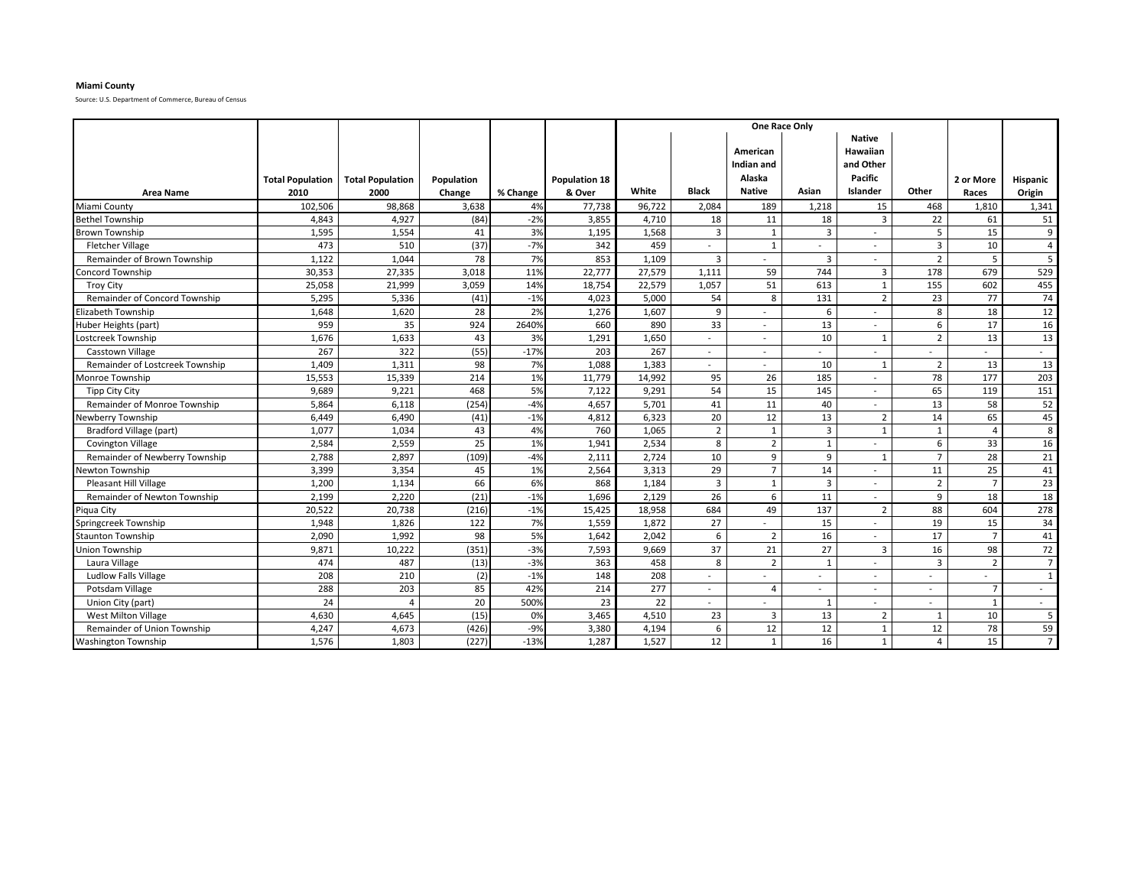### **Miami County**

|                                     |                         |                         |                   |                |                      | One Race Only |                |                                                   |                          |                                                                      |                |                |                          |  |
|-------------------------------------|-------------------------|-------------------------|-------------------|----------------|----------------------|---------------|----------------|---------------------------------------------------|--------------------------|----------------------------------------------------------------------|----------------|----------------|--------------------------|--|
|                                     | <b>Total Population</b> | <b>Total Population</b> | <b>Population</b> |                | <b>Population 18</b> | White         | <b>Black</b>   | American<br>Indian and<br>Alaska<br><b>Native</b> | Asian                    | <b>Native</b><br><b>Hawaiian</b><br>and Other<br>Pacific<br>Islander | Other          | 2 or More      | Hispanic                 |  |
| <b>Area Name</b><br>Miami County    | 2010<br>102,506         | 2000<br>98,868          | Change<br>3,638   | % Change<br>4% | & Over<br>77,738     | 96,722        | 2,084          | 189                                               | 1,218                    | 15                                                                   | 468            | Races<br>1,810 | Origin<br>1,341          |  |
| <b>Bethel Township</b>              | 4,843                   | 4,927                   | (84)              | $-2%$          | 3,855                | 4,710         | 18             | 11                                                | 18                       | $\overline{3}$                                                       | 22             | 61             | 51                       |  |
| Brown Township                      | 1,595                   | 1,554                   | 41                | 3%             | 1,195                | 1,568         | $\overline{3}$ | 1                                                 | 3                        |                                                                      | 5              | 15             | 9                        |  |
| <b>Fletcher Village</b>             | 473                     | 510                     | (37)              | $-7%$          | 342                  | 459           | $\sim$         | 1                                                 | $\overline{\phantom{0}}$ | $\sim$                                                               | 3              | 10             | 4                        |  |
| Remainder of Brown Township         | 1,122                   | 1,044                   | 78                | 7%             | 853                  | 1,109         | $\overline{3}$ |                                                   | 3                        |                                                                      | $\overline{2}$ | 5              | 5                        |  |
| Concord Township                    | 30,353                  | 27,335                  | 3,018             | 11%            | 22,777               | 27,579        | 1,111          | 59                                                | 744                      | 3                                                                    | 178            | 679            | 529                      |  |
| <b>Troy City</b>                    | 25,058                  | 21,999                  | 3,059             | 14%            | 18,754               | 22,579        | 1,057          | 51                                                | 613                      | $\mathbf{1}$                                                         | 155            | 602            | 455                      |  |
| Remainder of Concord Township       | 5,295                   | 5,336                   | (41)              | $-1%$          | 4,023                | 5,000         | 54             | 8                                                 | 131                      | $\overline{2}$                                                       | 23             | 77             | 74                       |  |
| Elizabeth Township                  | 1,648                   | 1,620                   | 28                | 2%             | 1,276                | 1,607         | 9              |                                                   | 6                        |                                                                      | 8              | 18             | 12                       |  |
| Huber Heights (part)                | 959                     | 35                      | 924               | 2640%          | 660                  | 890           | 33             | $\overline{a}$                                    | 13                       |                                                                      | 6              | 17             | 16                       |  |
| ostcreek Township.                  | 1,676                   | 1,633                   | 43                | 3%             | 1,291                | 1,650         | $\sim$         | $\sim$                                            | 10                       | $\mathbf{1}$                                                         | $\overline{2}$ | 13             | 13                       |  |
| Casstown Village                    | 267                     | 322                     | (55)              | $-17%$         | 203                  | 267           | $\sim$         |                                                   |                          |                                                                      |                | $\sim$         |                          |  |
| Remainder of Lostcreek Township     | 1,409                   | 1,311                   | 98                | 7%             | 1,088                | 1,383         | $\sim$         |                                                   | 10                       | $\overline{1}$                                                       | $\overline{2}$ | 13             | 13                       |  |
| Monroe Township                     | 15,553                  | 15,339                  | 214               | 1%             | 11,779               | 14,992        | 95             | 26                                                | 185                      |                                                                      | 78             | 177            | 203                      |  |
| <b>Tipp City City</b>               | 9,689                   | 9,221                   | 468               | 5%             | 7,122                | 9,291         | 54             | 15                                                | 145                      |                                                                      | 65             | 119            | 151                      |  |
| <b>Remainder of Monroe Township</b> | 5,864                   | 6,118                   | (254)             | $-4%$          | 4,657                | 5,701         | 41             | 11                                                | 40                       |                                                                      | 13             | 58             | 52                       |  |
| Newberry Township                   | 6,449                   | 6,490                   | (41)              | $-1%$          | 4,812                | 6,323         | 20             | 12                                                | 13                       | $\overline{2}$                                                       | 14             | 65             | 45                       |  |
| Bradford Village (part)             | 1,077                   | 1,034                   | 43                | 4%             | 760                  | 1,065         | $\overline{2}$ | $\mathbf{1}$                                      | 3                        | $\mathbf{1}$                                                         | $\mathbf{1}$   |                | 8                        |  |
| <b>Covington Village</b>            | 2,584                   | 2,559                   | 25                | 1%             | 1,941                | 2,534         | 8              | $\overline{2}$                                    | $\mathbf{1}$             |                                                                      | 6              | 33             | 16                       |  |
| Remainder of Newberry Township      | 2,788                   | 2,897                   | (109)             | $-4%$          | 2,111                | 2,724         | 10             | 9                                                 | 9                        | $\mathbf{1}$                                                         | $\overline{7}$ | 28             | 21                       |  |
| Newton Township                     | 3,399                   | 3,354                   | 45                | 1%             | 2,564                | 3,313         | 29             | $\overline{7}$                                    | 14                       |                                                                      | 11             | 25             | 41                       |  |
| Pleasant Hill Village               | 1,200                   | 1,134                   | 66                | 6%             | 868                  | 1,184         | $\overline{3}$ | $\overline{1}$                                    | $\overline{3}$           |                                                                      | $\overline{2}$ | $\overline{7}$ | 23                       |  |
| Remainder of Newton Township        | 2,199                   | 2,220                   | (21)              | $-1%$          | 1,696                | 2.129         | 26             | 6                                                 | 11                       |                                                                      | 9              | 18             | 18                       |  |
| Piqua City                          | 20,522                  | 20,738                  | (216)             | $-1%$          | 15,425               | 18,958        | 684            | 49                                                | 137                      | $\overline{2}$                                                       | 88             | 604            | 278                      |  |
| Springcreek Township                | 1,948                   | 1,826                   | 122               | 7%             | 1.559                | 1.872         | 27             |                                                   | 15                       |                                                                      | 19             | 15             | 34                       |  |
| <b>Staunton Township</b>            | 2,090                   | 1,992                   | 98                | 5%             | 1,642                | 2,042         | 6              | $\overline{2}$                                    | 16                       |                                                                      | 17             |                | 41                       |  |
| Union Township                      | 9,871                   | 10,222                  | (351)             | $-3%$          | 7,593                | 9,669         | 37             | 21                                                | 27                       | 3                                                                    | 16             | 98             | 72                       |  |
| Laura Village                       | 474                     | 487                     | (13)              | $-3%$          | 363                  | 458           | 8              | $\overline{2}$                                    | $\mathbf{1}$             |                                                                      | $\overline{3}$ | $\overline{2}$ | $\overline{7}$           |  |
| Ludlow Falls Village                | 208                     | 210                     | (2)               | $-1%$          | 148                  | 208           | $\sim$         |                                                   | $\overline{\phantom{0}}$ |                                                                      |                |                | $\mathbf{1}$             |  |
| Potsdam Village                     | 288                     | 203                     | 85                | 42%            | 214                  | 277           | $\sim$         | $\overline{4}$                                    |                          |                                                                      |                | $\overline{7}$ | $\overline{\phantom{a}}$ |  |
| Union City (part)                   | 24                      | $\Delta$                | 20                | 500%           | 23                   | 22            | $\sim$         |                                                   | 1                        | $\overline{a}$                                                       | $\sim$         | $\mathbf{1}$   | $\overline{\phantom{a}}$ |  |
| West Milton Village                 | 4,630                   | 4,645                   | (15)              | 0%             | 3,465                | 4,510         | 23             | $\overline{3}$                                    | 13                       | $\overline{2}$                                                       | $\mathbf{1}$   | 10             | 5                        |  |
| Remainder of Union Township         | 4,247                   | 4,673                   | (426)             | $-9%$          | 3,380                | 4,194         | 6              | 12                                                | 12                       | $\overline{1}$                                                       | 12             | 78             | 59                       |  |
| <b>Washington Township</b>          | 1,576                   | 1,803                   | (227)             | $-13%$         | 1,287                | 1,527         | 12             | $\mathbf{1}$                                      | 16                       | $\mathbf{1}$                                                         | $\overline{a}$ | 15             | $7\overline{ }$          |  |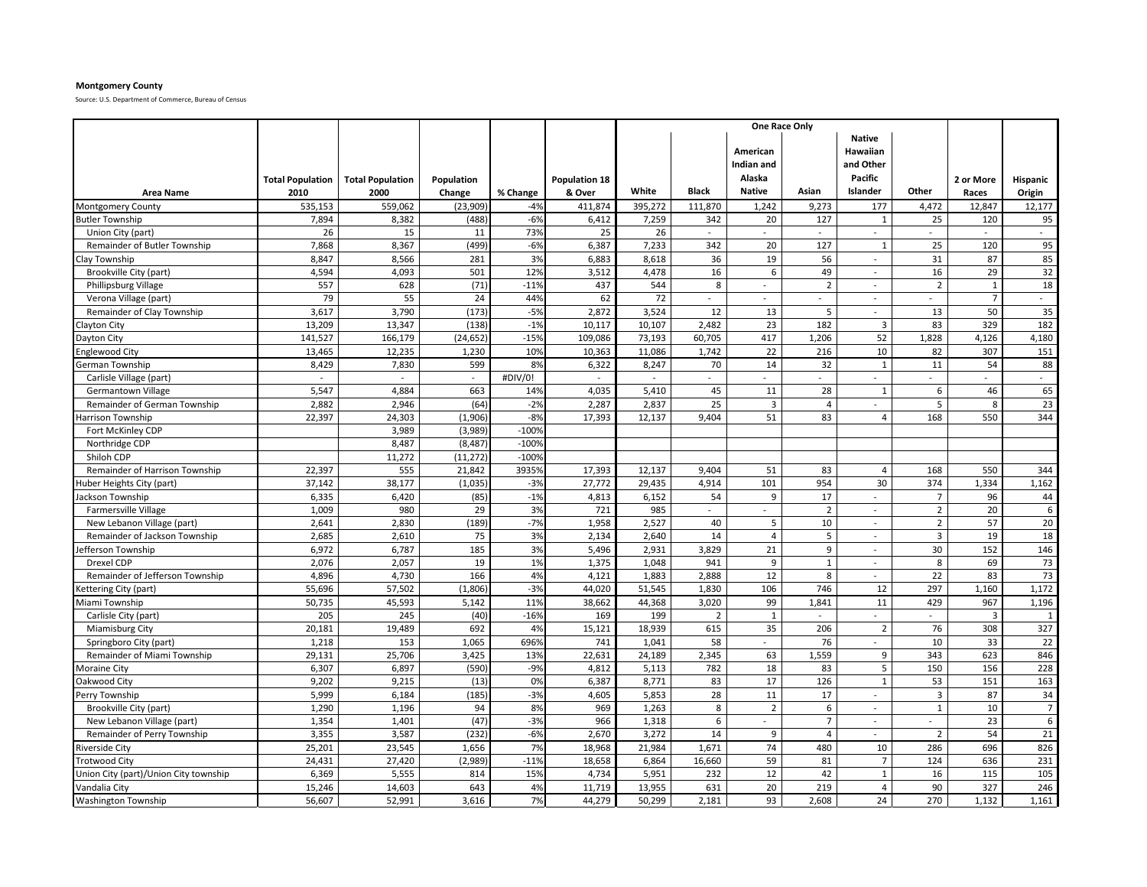# **Montgomery County**

|                                       |                         |                         |            |          |                      |         | One Race Only               |                                  |                |                                                   |                |                |                             |
|---------------------------------------|-------------------------|-------------------------|------------|----------|----------------------|---------|-----------------------------|----------------------------------|----------------|---------------------------------------------------|----------------|----------------|-----------------------------|
|                                       | <b>Total Population</b> | <b>Total Population</b> | Population |          | <b>Population 18</b> |         |                             | American<br>Indian and<br>Alaska |                | <b>Native</b><br>Hawaiian<br>and Other<br>Pacific |                | 2 or More      | <b>Hispanic</b>             |
| <b>Area Name</b>                      | 2010                    | 2000                    | Change     | % Change | & Over               | White   | <b>Black</b>                | <b>Native</b>                    | Asian          | Islander                                          | Other          | Races          | Origin                      |
| <b>Montgomery County</b>              | 535,153                 | 559,062                 | (23,909)   | $-4%$    | 411,874              | 395,272 | 111,870                     | 1,242                            | 9,273          | 177                                               | 4,472          | 12,847         | 12,177                      |
| <b>Butler Township</b>                | 7,894                   | 8,382                   | (488)      | $-6%$    | 6,412                | 7,259   | 342                         | 20                               | 127            | $\mathbf{1}$                                      | 25             | 120            | 95                          |
| Union City (part)                     | 26                      | 15                      | 11         | 73%      | 25                   | 26      | $\overline{\phantom{a}}$    |                                  |                | $\overline{\phantom{a}}$                          |                | $\mathbb{L}$   | $\mathcal{L}_{\mathcal{A}}$ |
| Remainder of Butler Township          | 7,868                   | 8,367                   | (499)      | $-6%$    | 6,387                | 7,233   | 342                         | 20                               | 127            | $\mathbf{1}$                                      | 25             | 120            | 95                          |
| Clay Township                         | 8,847                   | 8,566                   | 281        | 3%       | 6,883                | 8,618   | 36                          | 19                               | 56             | $\mathcal{L}$                                     | 31             | 87             | 85                          |
| Brookville City (part)                | 4,594                   | 4,093                   | 501        | 12%      | 3,512                | 4,478   | 16                          | 6                                | 49             | $\overline{\phantom{a}}$                          | 16             | 29             | 32                          |
| Phillipsburg Village                  | 557                     | 628                     | (71)       | $-11%$   | 437                  | 544     | 8                           | $\overline{\phantom{a}}$         | $\overline{2}$ | $\sim$                                            | $\overline{2}$ | $\overline{1}$ | 18                          |
| Verona Village (part)                 | 79                      | 55                      | 24         | 44%      | 62                   | 72      | $\sim$                      | $\overline{\phantom{a}}$         | $\sim$         | $\sim$                                            | ÷.             | $\overline{7}$ | $\sim$                      |
| Remainder of Clay Township            | 3,617                   | 3,790                   | (173)      | $-5%$    | 2,872                | 3,524   | 12                          | 13                               | 5              | $\overline{\phantom{a}}$                          | 13             | 50             | 35                          |
| <b>Clayton City</b>                   | 13,209                  | 13,347                  | (138)      | $-1%$    | 10.117               | 10.107  | 2,482                       | 23                               | 182            | $\overline{3}$                                    | 83             | 329            | 182                         |
| Dayton City                           | 141,527                 | 166,179                 | (24, 652)  | $-15%$   | 109,086              | 73,193  | 60,705                      | 417                              | 1,206          | 52                                                | 1,828          | 4,126          | 4,180                       |
| <b>Englewood City</b>                 | 13,465                  | 12,235                  | 1,230      | 10%      | 10,363               | 11,086  | 1,742                       | 22                               | 216            | 10                                                | 82             | 307            | 151                         |
| German Township                       | 8,429                   | 7,830                   | 599        | 8%       | 6,322                | 8.247   | 70                          | 14                               | 32             | $\mathbf{1}$                                      | 11             | 54             | 88                          |
| Carlisle Village (part)               | $\sim$                  | $\sim$                  | $\sim$     | #DIV/0!  | $\sim$               | $\sim$  | $\sim$                      | $\overline{\phantom{a}}$         | $\sim$         | $\sim$                                            | ÷.             | $\sim$         | $\blacksquare$              |
| <b>Germantown Village</b>             | 5,547                   | 4,884                   | 663        | 14%      | 4,035                | 5,410   | 45                          | 11                               | 28             | $\mathbf{1}$                                      | 6              | 46             | 65                          |
| Remainder of German Township          | 2,882                   | 2,946                   | (64)       | $-2%$    | 2,287                | 2,837   | 25                          | $\overline{3}$                   | 4              |                                                   | 5              | 8              | 23                          |
| larrison Township                     | 22,397                  | 24,303                  | (1,906)    | $-8%$    | 17,393               | 12,137  | 9,404                       | 51                               | 83             | $\overline{4}$                                    | 168            | 550            | 344                         |
| Fort McKinley CDP                     |                         | 3,989                   | (3,989)    | $-100%$  |                      |         |                             |                                  |                |                                                   |                |                |                             |
| Northridge CDP                        |                         | 8,487                   | (8, 487)   | $-100%$  |                      |         |                             |                                  |                |                                                   |                |                |                             |
| Shiloh CDP                            |                         | 11,272                  | (11, 272)  | $-100%$  |                      |         |                             |                                  |                |                                                   |                |                |                             |
| Remainder of Harrison Township        | 22,397                  | 555                     | 21,842     | 39359    | 17,393               | 12,137  | 9,404                       | 51                               | 83             | $\overline{4}$                                    | 168            | 550            | 344                         |
| Huber Heights City (part)             | 37,142                  | 38.177                  | (1.035)    | $-3%$    | 27.772               | 29.435  | 4,914                       | 101                              | 954            | 30                                                | 374            | 1.334          | 1.162                       |
| Jackson Township                      | 6,335                   | 6,420                   | (85)       | $-1%$    | 4,813                | 6,152   | 54                          | 9                                | 17             | $\sim$                                            | $\overline{7}$ | 96             | 44                          |
| <b>Farmersville Village</b>           | 1,009                   | 980                     | 29         | 3%       | 721                  | 985     | $\mathcal{L}_{\mathcal{A}}$ | $\overline{a}$                   | $\overline{2}$ | $\mathcal{L}$                                     | $\overline{2}$ | 20             | 6                           |
| New Lebanon Village (part)            | 2,641                   | 2,830                   | (189)      | $-7%$    | 1,958                | 2,527   | 40                          | 5                                | 10             | $\overline{a}$                                    | $\mathbf 2$    | 57             | 20                          |
| Remainder of Jackson Township         | 2,685                   | 2,610                   | 75         | 3%       | 2,134                | 2,640   | 14                          | $\overline{4}$                   | 5              | $\overline{\phantom{a}}$                          | $\overline{3}$ | 19             | 18                          |
| efferson Township                     | 6,972                   | 6,787                   | 185        | 3%       | 5,496                | 2,931   | 3,829                       | 21                               | 9              | $\mathbf{r}$                                      | 30             | 152            | 146                         |
| Drexel CDP                            | 2,076                   | 2,057                   | 19         | 1%       | 1,375                | 1,048   | 941                         | 9                                | $\mathbf{1}$   | $\overline{a}$                                    | 8              | 69             | 73                          |
| Remainder of Jefferson Township       | 4,896                   | 4,730                   | 166        | 4%       | 4,121                | 1,883   | 2,888                       | 12                               | 8              | ÷                                                 | 22             | 83             | 73                          |
| Kettering City (part)                 | 55,696                  | 57,502                  | (1,806)    | $-3%$    | 44,020               | 51,545  | 1,830                       | 106                              | 746            | 12                                                | 297            | 1,160          | 1,172                       |
| Miami Township                        | 50,735                  | 45,593                  | 5,142      | 11%      | 38,662               | 44,368  | 3,020                       | 99                               | 1,841          | 11                                                | 429            | 967            | 1,196                       |
| Carlisle City (part)                  | 205                     | 245                     | (40)       | $-16%$   | 169                  | 199     | $\overline{2}$              | $\overline{1}$                   |                | $\sim$                                            | ÷.             | $\overline{3}$ | $\overline{1}$              |
| <b>Miamisburg City</b>                | 20,181                  | 19,489                  | 692        | 4%       | 15,121               | 18,939  | 615                         | 35                               | 206            | $\overline{2}$                                    | 76             | 308            | 327                         |
| Springboro City (part)                | 1,218                   | 153                     | 1,065      | 696%     | 741                  | 1,041   | 58                          | $\overline{a}$                   | 76             | $\sim$                                            | 10             | 33             | 22                          |
| Remainder of Miami Township           | 29,131                  | 25,706                  | 3,425      | 13%      | 22,631               | 24,189  | 2,345                       | 63                               | 1,559          | 9                                                 | 343            | 623            | 846                         |
| <b>Moraine City</b>                   | 6,307                   | 6,897                   | (590)      | $-9%$    | 4,812                | 5,113   | 782                         | 18                               | 83             | 5                                                 | 150            | 156            | 228                         |
| Oakwood City                          | 9,202                   | 9,215                   | (13)       | 0%       | 6,387                | 8,771   | 83                          | 17                               | 126            | $\mathbf{1}$                                      | 53             | 151            | 163                         |
| Perry Township                        | 5,999                   | 6,184                   | (185)      | $-3%$    | 4,605                | 5,853   | 28                          | 11                               | 17             | $\sim$                                            | 3              | 87             | 34                          |
| Brookville City (part)                | 1,290                   | 1,196                   | 94         | 8%       | 969                  | 1,263   | 8                           | $\overline{2}$                   | 6              | $\overline{a}$                                    | $\mathbf{1}$   | 10             | $\overline{7}$              |
| New Lebanon Village (part)            | 1,354                   | 1,401                   | (47)       | $-3%$    | 966                  | 1,318   | 6                           |                                  | $\overline{7}$ | ÷                                                 | ÷.             | 23             | 6                           |
| Remainder of Perry Township           | 3,355                   | 3,587                   | (232)      | $-6%$    | 2.670                | 3,272   | 14                          | 9                                | $\overline{4}$ |                                                   | $\overline{2}$ | 54             | 21                          |
| <b>Riverside City</b>                 | 25,201                  | 23,545                  | 1,656      | 7%       | 18,968               | 21,984  | 1,671                       | 74                               | 480            | 10                                                | 286            | 696            | 826                         |
| <b>Trotwood City</b>                  | 24,431                  | 27,420                  | (2,989)    | $-11%$   | 18,658               | 6,864   | 16,660                      | 59                               | 81             | $\overline{7}$                                    | 124            | 636            | 231                         |
| Union City (part)/Union City township | 6,369                   | 5,555                   | 814        | 15%      | 4,734                | 5,951   | 232                         | 12                               | 42             | 1                                                 | 16             | 115            | 105                         |
| Vandalia City                         | 15,246                  | 14,603                  | 643        | 4%       | 11,719               | 13,955  | 631                         | 20                               | 219            | $\overline{4}$                                    | 90             | 327            | 246                         |
| <b>Washington Township</b>            | 56,607                  | 52,991                  | 3,616      | 7%       | 44,279               | 50,299  | 2,181                       | 93                               | 2,608          | 24                                                | 270            | 1,132          | 1,161                       |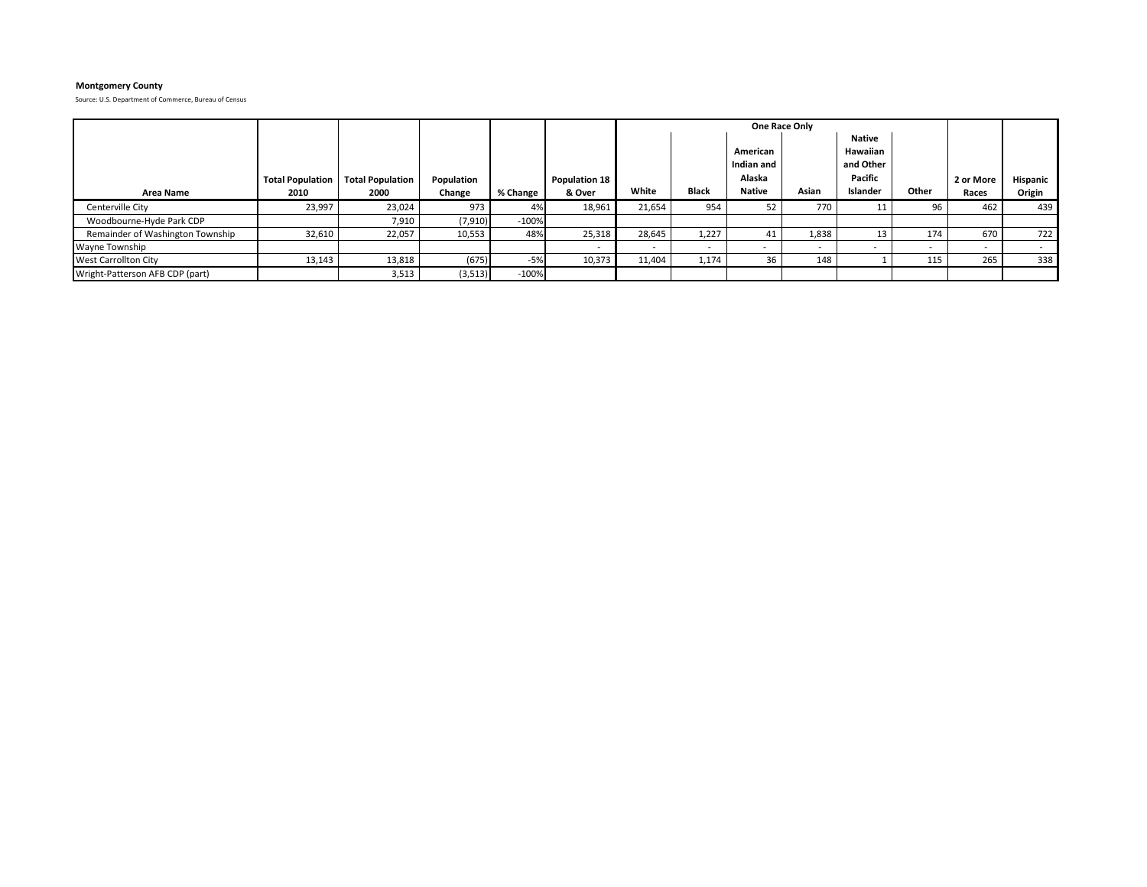# **Montgomery County**

|                                  |                         |                         |            |          |                      |        |                          | One Race Only                    |                          |                                            |       |           |          |
|----------------------------------|-------------------------|-------------------------|------------|----------|----------------------|--------|--------------------------|----------------------------------|--------------------------|--------------------------------------------|-------|-----------|----------|
|                                  | <b>Total Population</b> | <b>Total Population</b> | Population |          | <b>Population 18</b> |        |                          | American<br>Indian and<br>Alaska |                          | Native<br>Hawaiian<br>and Other<br>Pacific |       | 2 or More | Hispanic |
| <b>Area Name</b>                 | 2010                    | 2000                    | Change     | % Change | & Over               | White  | <b>Black</b>             | Native                           | Asian                    | Islander                                   | Other | Races     | Origin   |
| Centerville City                 | 23,997                  | 23,024                  | 973        | 4%       | 18,961               | 21,654 | 954                      |                                  | 770 l                    |                                            | 96    | 462       | 439      |
| Woodbourne-Hyde Park CDP         |                         | 7,910                   | (7,910)    | $-100%$  |                      |        |                          |                                  |                          |                                            |       |           |          |
| Remainder of Washington Township | 32,610                  | 22,057                  | 10,553     | 48%      | 25,318               | 28,645 | 1,227                    |                                  | 1,838                    | 13                                         | 174   | 670       | 722      |
| Wayne Township                   |                         |                         |            |          |                      | $\sim$ | $\overline{\phantom{0}}$ | $\overline{\phantom{a}}$         | $\overline{\phantom{a}}$ |                                            |       |           |          |
| <b>West Carrollton City</b>      | 13,143                  | 13,818                  | (675)      | $-5%$    | 10,373               | 11,404 | 1,174                    | 36                               | 148                      |                                            | 115   | 265       | 338      |
| Wright-Patterson AFB CDP (part)  |                         | 3,513                   | (3,513)    | $-100%$  |                      |        |                          |                                  |                          |                                            |       |           |          |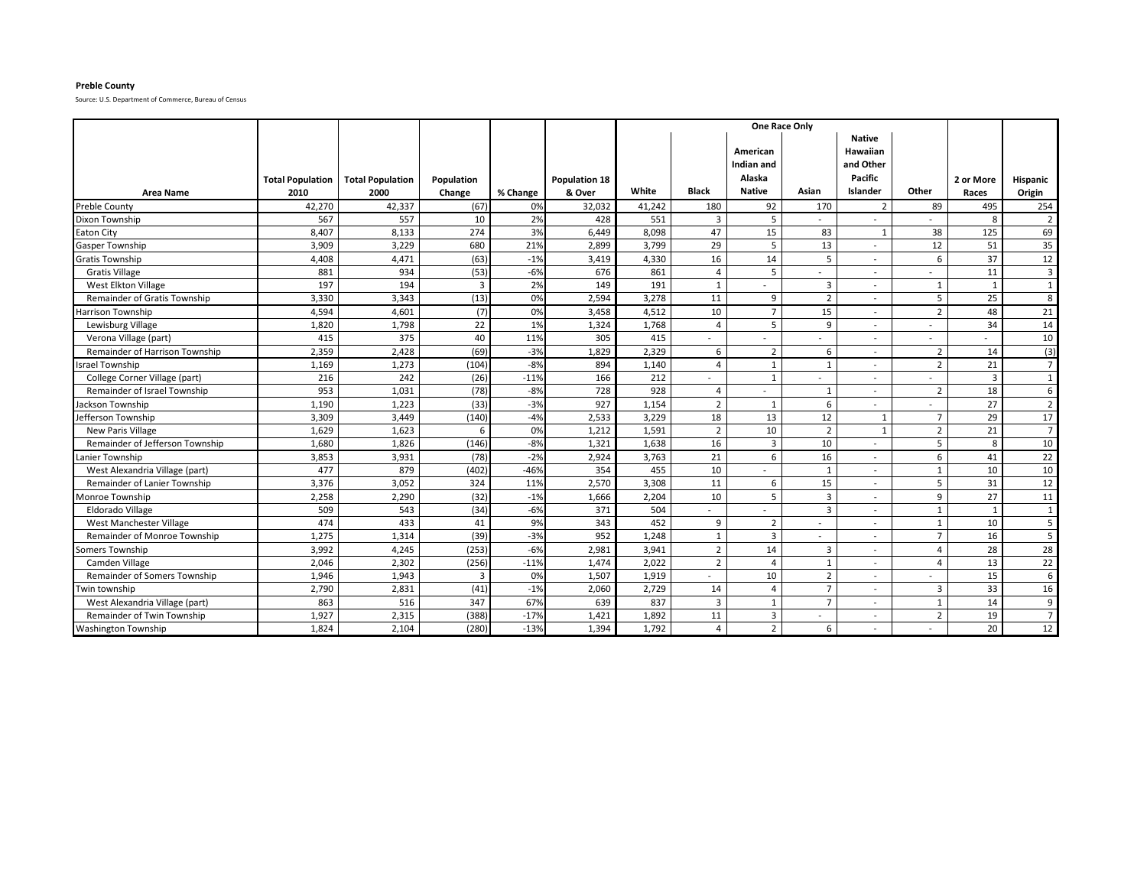### **Preble County**

|                                     |                         |                         |                |          |                      | One Race Only<br><b>Native</b> |                |                        |                          |                              |                |                |                 |
|-------------------------------------|-------------------------|-------------------------|----------------|----------|----------------------|--------------------------------|----------------|------------------------|--------------------------|------------------------------|----------------|----------------|-----------------|
|                                     |                         |                         |                |          |                      |                                |                | American<br>Indian and |                          | <b>Hawaiian</b><br>and Other |                |                |                 |
|                                     | <b>Total Population</b> | <b>Total Population</b> | Population     |          | <b>Population 18</b> |                                |                | Alaska                 |                          | Pacific                      |                | 2 or More      | Hispanic        |
| <b>Area Name</b>                    | 2010                    | 2000                    | Change         | % Change | & Over               | White                          | <b>Black</b>   | <b>Native</b>          | Asian                    | Islander                     | Other          | Races          | Origin          |
| <b>Preble County</b>                | 42,270                  | 42,337                  | (67)           | 0%       | 32,032               | 41,242                         | 180            | 92                     | 170                      | $\overline{2}$               | 89             | 495            | 254             |
| Dixon Township                      | 567                     | 557                     | 10             | 2%       | 428                  | 551                            | 3              | 5                      |                          |                              |                | 8              | $\overline{2}$  |
| Eaton City                          | 8,407                   | 8,133                   | 274            | 3%       | 6,449                | 8,098                          | 47             | 15                     | 83                       | $\overline{1}$               | 38             | 125            | 69              |
| <b>Gasper Township</b>              | 3,909                   | 3,229                   | 680            | 21%      | 2,899                | 3,799                          | 29             | 5                      | 13                       |                              | 12             | 51             | 35              |
| <b>Gratis Township</b>              | 4,408                   | 4,471                   | (63)           | $-1%$    | 3,419                | 4,330                          | 16             | 14                     | 5                        |                              | 6              | 37             | 12              |
| <b>Gratis Village</b>               | 881                     | 934                     | (53)           | $-6%$    | 676                  | 861                            | $\overline{4}$ | 5                      |                          |                              |                | 11             | $\overline{3}$  |
| West Elkton Village                 | 197                     | 194                     | $\overline{3}$ | 2%       | 149                  | 191                            | $\mathbf{1}$   |                        | $\overline{3}$           |                              | $\mathbf{1}$   | 1              | $\mathbf{1}$    |
| <b>Remainder of Gratis Township</b> | 3,330                   | 3,343                   | (13)           | 0%       | 2,594                | 3,278                          | 11             | 9                      | $\overline{2}$           |                              | 5              | 25             | 8               |
| <b>Harrison Township</b>            | 4,594                   | 4,601                   | (7)            | 0%       | 3,458                | 4,512                          | 10             | $\overline{7}$         | 15                       |                              | $\overline{2}$ | 48             | 21              |
| Lewisburg Village                   | 1,820                   | 1,798                   | 22             | 1%       | 1,324                | 1,768                          | 4              | 5                      | 9                        |                              |                | 34             | 14              |
| Verona Village (part)               | 415                     | 375                     | 40             | 11%      | 305                  | 415                            |                |                        |                          |                              |                |                | 10              |
| Remainder of Harrison Township      | 2,359                   | 2,428                   | (69)           | $-3%$    | 1,829                | 2,329                          | 6              | $\overline{2}$         | 6                        |                              | $\overline{2}$ | 14             | (3)             |
| srael Township                      | 1,169                   | 1,273                   | (104)          | $-8%$    | 894                  | 1,140                          | $\overline{4}$ | 1                      | 1                        |                              | $\overline{2}$ | 21             | 7 <sup>1</sup>  |
| College Corner Village (part)       | 216                     | 242                     | (26)           | $-11%$   | 166                  | 212                            |                | $\mathbf{1}$           | $\overline{\phantom{0}}$ |                              |                | $\overline{3}$ | $\mathbf{1}$    |
| Remainder of Israel Township        | 953                     | 1,031                   | (78)           | $-8%$    | 728                  | 928                            | $\overline{4}$ |                        | 1                        |                              | $\overline{2}$ | 18             | 6               |
| Jackson Township                    | 1.190                   | 1,223                   | (33)           | $-3%$    | 927                  | 1,154                          | $\overline{2}$ | 1                      | 6                        |                              |                | 27             | $\overline{2}$  |
| Jefferson Township                  | 3,309                   | 3,449                   | (140)          | $-4%$    | 2,533                | 3,229                          | 18             | 13                     | 12                       | $\mathbf{1}$                 | $\overline{7}$ | 29             | 17              |
| New Paris Village                   | 1,629                   | 1,623                   | 6              | 0%       | 1,212                | 1,591                          | $\overline{2}$ | 10                     | $\overline{2}$           | $\mathbf{1}$                 | $\overline{2}$ | 21             | $\overline{7}$  |
| Remainder of Jefferson Township     | 1,680                   | 1,826                   | (146)          | $-8%$    | 1,321                | 1,638                          | 16             | $\overline{3}$         | 10                       |                              | 5              | 8              | 10              |
| Lanier Township                     | 3,853                   | 3,931                   | (78)           | $-2%$    | 2,924                | 3,763                          | 21             | 6                      | 16                       |                              | 6              | 41             | 22              |
| West Alexandria Village (part)      | 477                     | 879                     | (402)          | $-46%$   | 354                  | 455                            | 10             |                        | 1                        |                              | $\mathbf{1}$   | 10             | 10              |
| Remainder of Lanier Township        | 3,376                   | 3,052                   | 324            | 11%      | 2,570                | 3,308                          | 11             | 6                      | 15                       |                              | 5              | 31             | 12              |
| Monroe Township                     | 2,258                   | 2,290                   | (32)           | $-1%$    | 1,666                | 2,204                          | 10             | 5                      | 3                        |                              | 9              | 27             | 11              |
| Eldorado Village                    | 509                     | 543                     | (34)           | $-6%$    | 371                  | 504                            |                |                        | 3                        | $\overline{\phantom{a}}$     | $\mathbf{1}$   |                | $\mathbf{1}$    |
| West Manchester Village             | 474                     | 433                     | 41             | 9%       | 343                  | 452                            | 9              | $\overline{2}$         |                          |                              | $\mathbf{1}$   | 10             | 5               |
| Remainder of Monroe Township        | 1,275                   | 1,314                   | (39)           | $-3%$    | 952                  | 1,248                          | $\mathbf{1}$   | $\overline{3}$         | ۰                        |                              | $\overline{7}$ | 16             | 5               |
| Somers Township                     | 3,992                   | 4,245                   | (253)          | $-6%$    | 2,981                | 3,941                          | $\overline{2}$ | 14                     | 3                        |                              | $\overline{4}$ | 28             | $\overline{28}$ |
| Camden Village                      | 2,046                   | 2,302                   | (256)          | $-11%$   | 1,474                | 2,022                          | $\overline{2}$ | $\overline{4}$         | $\mathbf{1}$             |                              | $\overline{A}$ | 13             | 22              |
| Remainder of Somers Township        | 1,946                   | 1,943                   | 3              | 0%       | 1,507                | 1,919                          | $\sim$         | 10                     | $\overline{2}$           | $\overline{\phantom{a}}$     |                | 15             | 6               |
| Twin township                       | 2,790                   | 2,831                   | (41)           | $-1%$    | 2,060                | 2,729                          | 14             | $\overline{4}$         | $\overline{7}$           |                              | $\overline{3}$ | 33             | 16              |
| West Alexandria Village (part)      | 863                     | 516                     | 347            | 67%      | 639                  | 837                            | 3              | 1                      | $\overline{7}$           |                              | $\mathbf{1}$   | 14             | 9               |
| Remainder of Twin Township          | 1,927                   | 2,315                   | (388)          | $-17%$   | 1,421                | 1,892                          | 11             | 3                      |                          |                              | $\overline{2}$ | 19             | $\overline{7}$  |
| <b>Washington Township</b>          | 1,824                   | 2,104                   | (280)          | $-13%$   | 1,394                | 1,792                          | $\overline{4}$ | $\overline{2}$         | 6                        |                              |                | 20             | 12              |